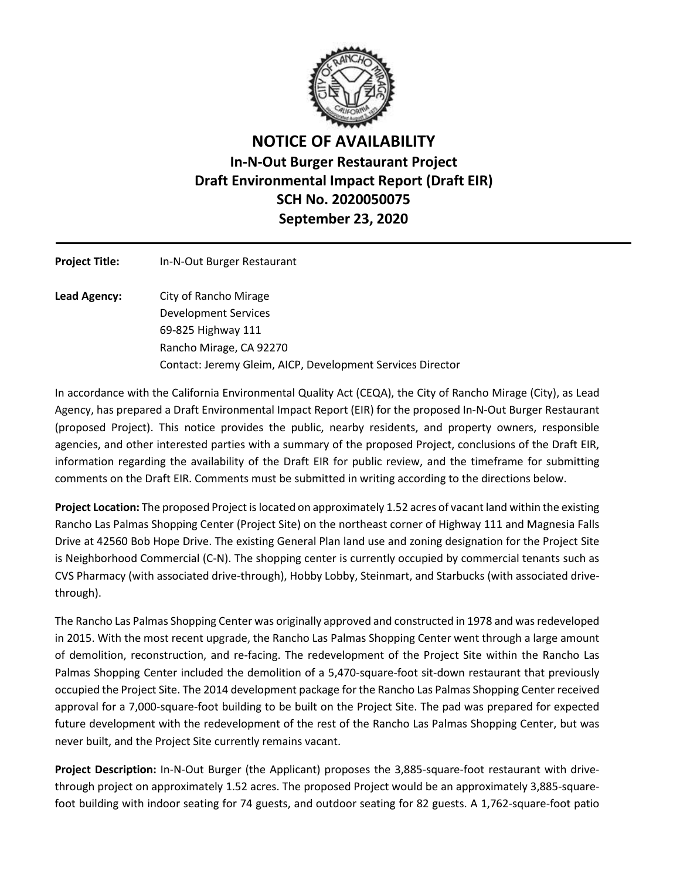

## **NOTICE OF AVAILABILITY In-N-Out Burger Restaurant Project Draft Environmental Impact Report (Draft EIR) SCH No. 2020050075 September 23, 2020**

| <b>Project Title:</b> | In-N-Out Burger Restaurant                                 |
|-----------------------|------------------------------------------------------------|
| Lead Agency:          | City of Rancho Mirage                                      |
|                       | Development Services                                       |
|                       | 69-825 Highway 111                                         |
|                       | Rancho Mirage, CA 92270                                    |
|                       | Contact: Jeremy Gleim, AICP, Development Services Director |

In accordance with the California Environmental Quality Act (CEQA), the City of Rancho Mirage (City), as Lead Agency, has prepared a Draft Environmental Impact Report (EIR) for the proposed In-N-Out Burger Restaurant (proposed Project). This notice provides the public, nearby residents, and property owners, responsible agencies, and other interested parties with a summary of the proposed Project, conclusions of the Draft EIR, information regarding the availability of the Draft EIR for public review, and the timeframe for submitting comments on the Draft EIR. Comments must be submitted in writing according to the directions below.

**Project Location:** The proposed Project is located on approximately 1.52 acres of vacant land within the existing Rancho Las Palmas Shopping Center (Project Site) on the northeast corner of Highway 111 and Magnesia Falls Drive at 42560 Bob Hope Drive. The existing General Plan land use and zoning designation for the Project Site is Neighborhood Commercial (C-N). The shopping center is currently occupied by commercial tenants such as CVS Pharmacy (with associated drive-through), Hobby Lobby, Steinmart, and Starbucks (with associated drivethrough).

The Rancho Las Palmas Shopping Center was originally approved and constructed in 1978 and was redeveloped in 2015. With the most recent upgrade, the Rancho Las Palmas Shopping Center went through a large amount of demolition, reconstruction, and re-facing. The redevelopment of the Project Site within the Rancho Las Palmas Shopping Center included the demolition of a 5,470-square-foot sit-down restaurant that previously occupied the Project Site. The 2014 development package for the Rancho Las Palmas Shopping Center received approval for a 7,000-square-foot building to be built on the Project Site. The pad was prepared for expected future development with the redevelopment of the rest of the Rancho Las Palmas Shopping Center, but was never built, and the Project Site currently remains vacant.

**Project Description:** In-N-Out Burger (the Applicant) proposes the 3,885-square-foot restaurant with drivethrough project on approximately 1.52 acres. The proposed Project would be an approximately 3,885-squarefoot building with indoor seating for 74 guests, and outdoor seating for 82 guests. A 1,762-square-foot patio